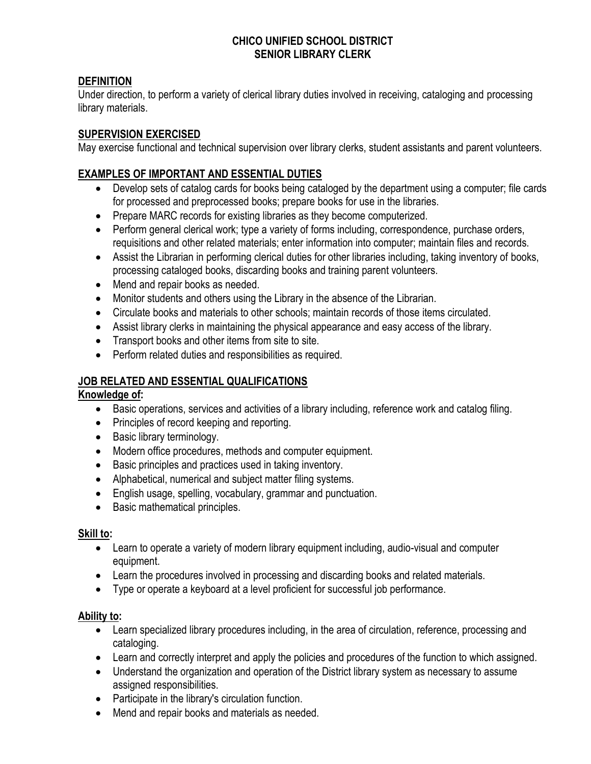# **CHICO UNIFIED SCHOOL DISTRICT SENIOR LIBRARY CLERK**

# **DEFINITION**

Under direction, to perform a variety of clerical library duties involved in receiving, cataloging and processing library materials.

## **SUPERVISION EXERCISED**

May exercise functional and technical supervision over library clerks, student assistants and parent volunteers.

# **EXAMPLES OF IMPORTANT AND ESSENTIAL DUTIES**

- Develop sets of catalog cards for books being cataloged by the department using a computer; file cards for processed and preprocessed books; prepare books for use in the libraries.
- Prepare MARC records for existing libraries as they become computerized.
- Perform general clerical work; type a variety of forms including, correspondence, purchase orders, requisitions and other related materials; enter information into computer; maintain files and records.
- Assist the Librarian in performing clerical duties for other libraries including, taking inventory of books, processing cataloged books, discarding books and training parent volunteers.
- Mend and repair books as needed.
- Monitor students and others using the Library in the absence of the Librarian.
- Circulate books and materials to other schools; maintain records of those items circulated.
- Assist library clerks in maintaining the physical appearance and easy access of the library.
- Transport books and other items from site to site.
- Perform related duties and responsibilities as required.

# **JOB RELATED AND ESSENTIAL QUALIFICATIONS**

## **Knowledge of:**

- Basic operations, services and activities of a library including, reference work and catalog filing.
- Principles of record keeping and reporting.
- Basic library terminology.
- Modern office procedures, methods and computer equipment.
- Basic principles and practices used in taking inventory.
- Alphabetical, numerical and subject matter filing systems.
- English usage, spelling, vocabulary, grammar and punctuation.
- Basic mathematical principles.

## **Skill to:**

- Learn to operate a variety of modern library equipment including, audio-visual and computer equipment.
- Learn the procedures involved in processing and discarding books and related materials.
- Type or operate a keyboard at a level proficient for successful job performance.

## **Ability to:**

- Learn specialized library procedures including, in the area of circulation, reference, processing and cataloging.
- Learn and correctly interpret and apply the policies and procedures of the function to which assigned.
- Understand the organization and operation of the District library system as necessary to assume assigned responsibilities.
- Participate in the library's circulation function.
- Mend and repair books and materials as needed.